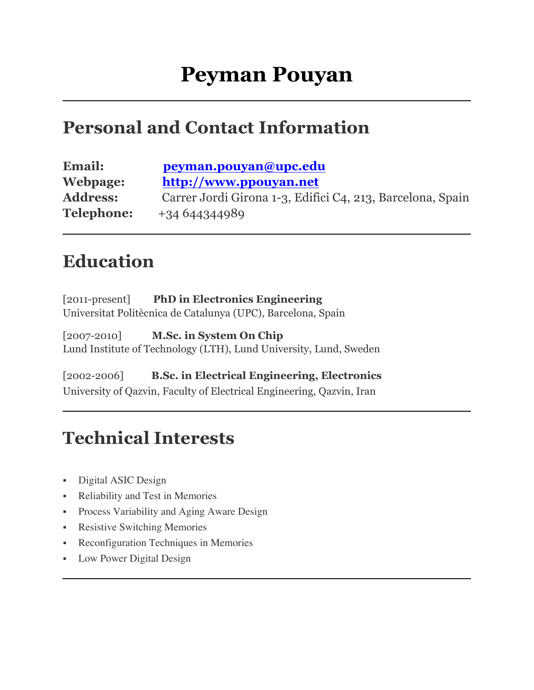### **Personal and Contact Information**

| <b>Email:</b>     | peyman.pouyan@upc.edu                                      |
|-------------------|------------------------------------------------------------|
| Webpage:          | http://www.ppouyan.net                                     |
| <b>Address:</b>   | Carrer Jordi Girona 1-3, Edifici C4, 213, Barcelona, Spain |
| <b>Telephone:</b> | $+34644344989$                                             |

### **Education**

[2011-present] **PhD in Electronics Engineering** Universitat Politècnica de Catalunya (UPC), Barcelona, Spain

[2007-2010] **M.Sc. in System On Chip** Lund Institute of Technology (LTH), Lund University, Lund, Sweden

[2002-2006] **B.Sc. in Electrical Engineering, Electronics** University of Qazvin, Faculty of Electrical Engineering, Qazvin, Iran

### **Technical Interests**

- Digital ASIC Design
- Reliability and Test in Memories
- Process Variability and Aging Aware Design
- Resistive Switching Memories
- Reconfiguration Techniques in Memories
- § Low Power Digital Design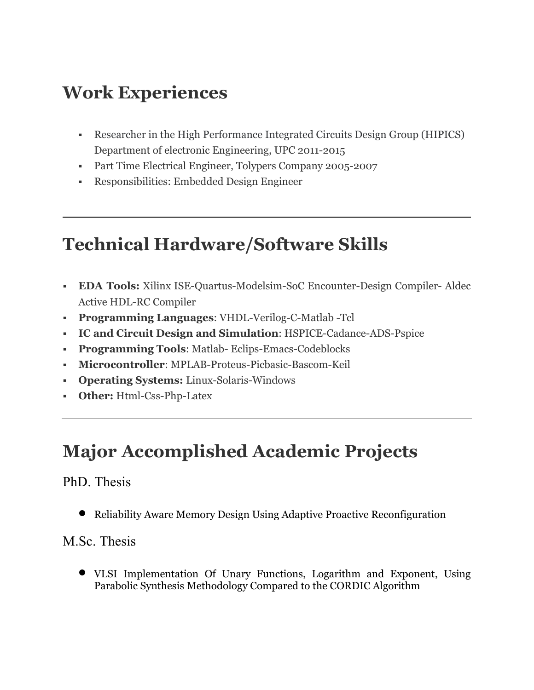# **Work Experiences**

- § Researcher in the High Performance Integrated Circuits Design Group (HIPICS) Department of electronic Engineering, UPC 2011-2015
- Part Time Electrical Engineer, Tolypers Company 2005-2007
- § Responsibilities: Embedded Design Engineer

# **Technical Hardware/Software Skills**

- § **EDA Tools:** Xilinx ISE-Quartus-Modelsim-SoC Encounter-Design Compiler- Aldec Active HDL-RC Compiler
- § **Programming Languages**: VHDL-Verilog-C-Matlab -Tcl
- § **IC and Circuit Design and Simulation**: HSPICE-Cadance-ADS-Pspice
- § **Programming Tools**: Matlab- Eclips-Emacs-Codeblocks
- § **Microcontroller**: MPLAB-Proteus-Picbasic-Bascom-Keil
- § **Operating Systems:** Linux-Solaris-Windows
- **Other:** Html-Css-Php-Latex

# **Major Accomplished Academic Projects**

#### PhD. Thesis

• Reliability Aware Memory Design Using Adaptive Proactive Reconfiguration

#### M.Sc. Thesis

• VLSI Implementation Of Unary Functions, Logarithm and Exponent, Using Parabolic Synthesis Methodology Compared to the CORDIC Algorithm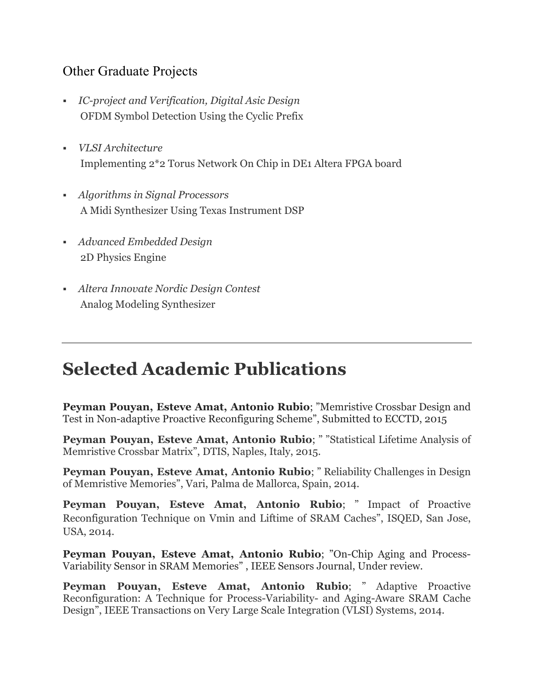#### Other Graduate Projects

- § *IC-project and Verification, Digital Asic Design* OFDM Symbol Detection Using the Cyclic Prefix
- § *VLSI Architecture* Implementing 2\*2 Torus Network On Chip in DE1 Altera FPGA board
- § *Algorithms in Signal Processors* A Midi Synthesizer Using Texas Instrument DSP
- § *Advanced Embedded Design* 2D Physics Engine
- § *Altera Innovate Nordic Design Contest* Analog Modeling Synthesizer

### **Selected Academic Publications**

**Peyman Pouyan, Esteve Amat, Antonio Rubio**; "Memristive Crossbar Design and Test in Non-adaptive Proactive Reconfiguring Scheme", Submitted to ECCTD, 2015

**Peyman Pouyan, Esteve Amat, Antonio Rubio**; " "Statistical Lifetime Analysis of Memristive Crossbar Matrix", DTIS, Naples, Italy, 2015.

**Peyman Pouyan, Esteve Amat, Antonio Rubio**; " Reliability Challenges in Design of Memristive Memories", Vari, Palma de Mallorca, Spain, 2014.

**Peyman Pouyan, Esteve Amat, Antonio Rubio**; " Impact of Proactive Reconfiguration Technique on Vmin and Liftime of SRAM Caches", ISQED, San Jose, USA, 2014.

**Peyman Pouyan, Esteve Amat, Antonio Rubio**; "On-Chip Aging and Process-Variability Sensor in SRAM Memories" , IEEE Sensors Journal, Under review.

**Peyman Pouyan, Esteve Amat, Antonio Rubio**; " Adaptive Proactive Reconfiguration: A Technique for Process-Variability- and Aging-Aware SRAM Cache Design", IEEE Transactions on Very Large Scale Integration (VLSI) Systems, 2014.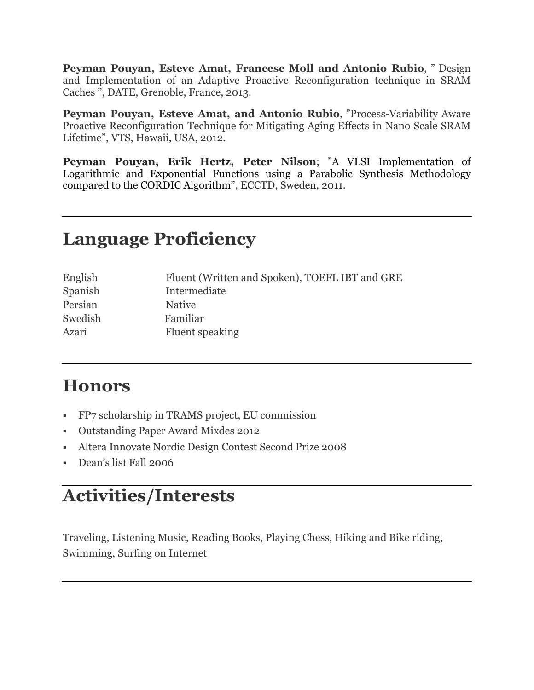**Peyman Pouyan, Esteve Amat, Francesc Moll and Antonio Rubio**, " Design and Implementation of an Adaptive Proactive Reconfiguration technique in SRAM Caches ", DATE, Grenoble, France, 2013.

**Peyman Pouyan, Esteve Amat, and Antonio Rubio**, "Process-Variability Aware Proactive Reconfiguration Technique for Mitigating Aging Effects in Nano Scale SRAM Lifetime", VTS, Hawaii, USA, 2012.

**Peyman Pouyan, Erik Hertz, Peter Nilson**; "A VLSI Implementation of Logarithmic and Exponential Functions using a Parabolic Synthesis Methodology compared to the CORDIC Algorithm", ECCTD, Sweden, 2011.

### **Language Proficiency**

| English | Fluent (Written and Spoken), TOEFL IBT and GRE |
|---------|------------------------------------------------|
| Spanish | Intermediate                                   |
| Persian | <b>Native</b>                                  |
| Swedish | Familiar                                       |
| Azari   | Fluent speaking                                |

### **Honors**

- § FP7 scholarship in TRAMS project, EU commission
- § Outstanding Paper Award Mixdes 2012
- § Altera Innovate Nordic Design Contest Second Prize 2008
- § Dean's list Fall 2006

# **Activities/Interests**

Traveling, Listening Music, Reading Books, Playing Chess, Hiking and Bike riding, Swimming, Surfing on Internet